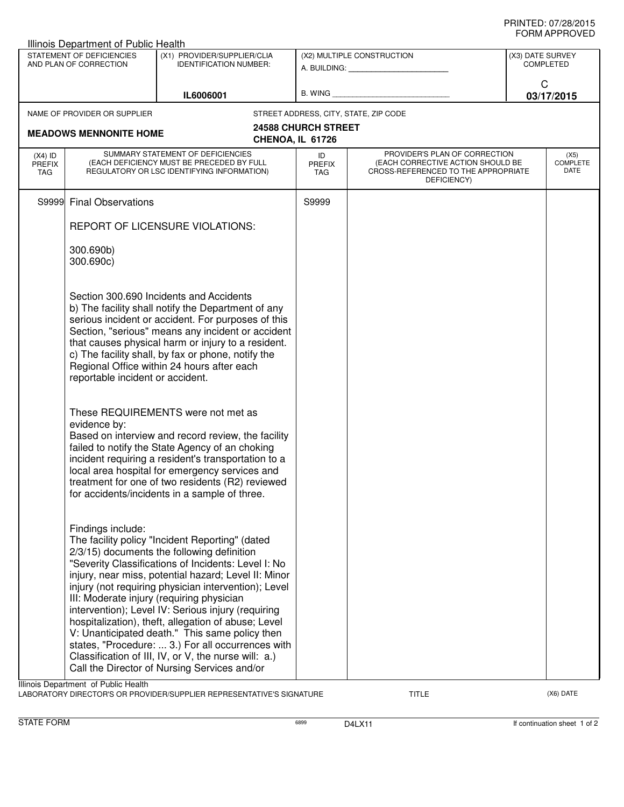| Illinois Department of Public Health                |                                                                                                                              |                                                                                                                                                                                                                                                                                                                                                                                                                                                                                                                                                                                                                                               |                                                         |                                                                                                                          |                                      |  |  |  |  |  |
|-----------------------------------------------------|------------------------------------------------------------------------------------------------------------------------------|-----------------------------------------------------------------------------------------------------------------------------------------------------------------------------------------------------------------------------------------------------------------------------------------------------------------------------------------------------------------------------------------------------------------------------------------------------------------------------------------------------------------------------------------------------------------------------------------------------------------------------------------------|---------------------------------------------------------|--------------------------------------------------------------------------------------------------------------------------|--------------------------------------|--|--|--|--|--|
| STATEMENT OF DEFICIENCIES<br>AND PLAN OF CORRECTION |                                                                                                                              | (X1) PROVIDER/SUPPLIER/CLIA<br><b>IDENTIFICATION NUMBER:</b>                                                                                                                                                                                                                                                                                                                                                                                                                                                                                                                                                                                  | (X2) MULTIPLE CONSTRUCTION<br>A. BUILDING: A. BUILDING: |                                                                                                                          | (X3) DATE SURVEY<br><b>COMPLETED</b> |  |  |  |  |  |
|                                                     |                                                                                                                              | IL6006001                                                                                                                                                                                                                                                                                                                                                                                                                                                                                                                                                                                                                                     | B. WING <b>Example 20</b>                               |                                                                                                                          | C<br>03/17/2015                      |  |  |  |  |  |
|                                                     | NAME OF PROVIDER OR SUPPLIER                                                                                                 |                                                                                                                                                                                                                                                                                                                                                                                                                                                                                                                                                                                                                                               |                                                         | STREET ADDRESS, CITY, STATE, ZIP CODE                                                                                    |                                      |  |  |  |  |  |
| <b>MEADOWS MENNONITE HOME</b><br>CHENOA, IL 61726   |                                                                                                                              | <b>24588 CHURCH STREET</b>                                                                                                                                                                                                                                                                                                                                                                                                                                                                                                                                                                                                                    |                                                         |                                                                                                                          |                                      |  |  |  |  |  |
| $(X4)$ ID<br><b>PREFIX</b><br>TAG                   | SUMMARY STATEMENT OF DEFICIENCIES<br>(EACH DEFICIENCY MUST BE PRECEDED BY FULL<br>REGULATORY OR LSC IDENTIFYING INFORMATION) |                                                                                                                                                                                                                                                                                                                                                                                                                                                                                                                                                                                                                                               | ID<br><b>PREFIX</b><br>TAG.                             | PROVIDER'S PLAN OF CORRECTION<br>(EACH CORRECTIVE ACTION SHOULD BE<br>CROSS-REFERENCED TO THE APPROPRIATE<br>DEFICIENCY) | (X5)<br><b>COMPLETE</b><br>DATE      |  |  |  |  |  |
| S9999                                               | <b>Final Observations</b>                                                                                                    |                                                                                                                                                                                                                                                                                                                                                                                                                                                                                                                                                                                                                                               | S9999                                                   |                                                                                                                          |                                      |  |  |  |  |  |
|                                                     | REPORT OF LICENSURE VIOLATIONS:                                                                                              |                                                                                                                                                                                                                                                                                                                                                                                                                                                                                                                                                                                                                                               |                                                         |                                                                                                                          |                                      |  |  |  |  |  |
|                                                     | 300.690b)<br>300.690c)                                                                                                       |                                                                                                                                                                                                                                                                                                                                                                                                                                                                                                                                                                                                                                               |                                                         |                                                                                                                          |                                      |  |  |  |  |  |
|                                                     | reportable incident or accident.                                                                                             | Section 300.690 Incidents and Accidents<br>b) The facility shall notify the Department of any<br>serious incident or accident. For purposes of this<br>Section, "serious" means any incident or accident<br>that causes physical harm or injury to a resident.<br>c) The facility shall, by fax or phone, notify the<br>Regional Office within 24 hours after each                                                                                                                                                                                                                                                                            |                                                         |                                                                                                                          |                                      |  |  |  |  |  |
|                                                     | evidence by:                                                                                                                 | These REQUIREMENTS were not met as<br>Based on interview and record review, the facility<br>failed to notify the State Agency of an choking<br>incident requiring a resident's transportation to a<br>local area hospital for emergency services and<br>treatment for one of two residents (R2) reviewed<br>for accidents/incidents in a sample of three.                                                                                                                                                                                                                                                                                     |                                                         |                                                                                                                          |                                      |  |  |  |  |  |
|                                                     | Findings include:<br>Illinois Department of Public Health                                                                    | The facility policy "Incident Reporting" (dated<br>2/3/15) documents the following definition<br>"Severity Classifications of Incidents: Level I: No<br>injury, near miss, potential hazard; Level II: Minor<br>injury (not requiring physician intervention); Level<br>III: Moderate injury (requiring physician<br>intervention); Level IV: Serious injury (requiring<br>hospitalization), theft, allegation of abuse; Level<br>V: Unanticipated death." This same policy then<br>states, "Procedure:  3.) For all occurrences with<br>Classification of III, IV, or V, the nurse will: a.)<br>Call the Director of Nursing Services and/or |                                                         |                                                                                                                          |                                      |  |  |  |  |  |

LABORATORY DIRECTOR'S OR PROVIDER/SUPPLIER REPRESENTATIVE'S SIGNATURE TITLE TITLE THE CONSERVATION OF THE CONST